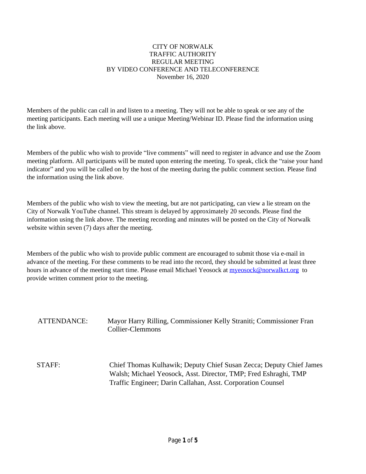#### CITY OF NORWALK TRAFFIC AUTHORITY REGULAR MEETING BY VIDEO CONFERENCE AND TELECONFERENCE November 16, 2020

Members of the public can call in and listen to a meeting. They will not be able to speak or see any of the meeting participants. Each meeting will use a unique Meeting/Webinar ID. Please find the information using the link above.

Members of the public who wish to provide "live comments" will need to register in advance and use the Zoom meeting platform. All participants will be muted upon entering the meeting. To speak, click the "raise your hand indicator" and you will be called on by the host of the meeting during the public comment section. Please find the information using the link above.

Members of the public who wish to view the meeting, but are not participating, can view a lie stream on the City of Norwalk YouTube channel. This stream is delayed by approximately 20 seconds. Please find the information using the link above. The meeting recording and minutes will be posted on the City of Norwalk website within seven (7) days after the meeting.

Members of the public who wish to provide public comment are encouraged to submit those via e-mail in advance of the meeting. For these comments to be read into the record, they should be submitted at least three hours in advance of the meeting start time. Please email Michael Yeosock at **myeosock@norwalkct.org** to provide written comment prior to the meeting.

ATTENDANCE: Mayor Harry Rilling, Commissioner Kelly Straniti; Commissioner Fran Collier-Clemmons

STAFF: Chief Thomas Kulhawik; Deputy Chief Susan Zecca; Deputy Chief James Walsh; Michael Yeosock, Asst. Director, TMP; Fred Eshraghi, TMP Traffic Engineer; Darin Callahan, Asst. Corporation Counsel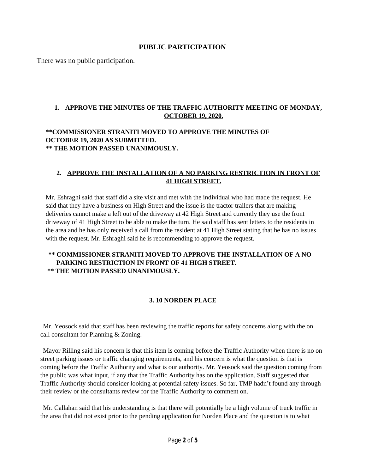## **PUBLIC PARTICIPATION**

There was no public participation.

### **1. APPROVE THE MINUTES OF THE TRAFFIC AUTHORITY MEETING OF MONDAY, OCTOBER 19, 2020.**

#### **\*\*COMMISSIONER STRANITI MOVED TO APPROVE THE MINUTES OF OCTOBER 19, 2020 AS SUBMITTED. \*\* THE MOTION PASSED UNANIMOUSLY.**

### **2. APPROVE THE INSTALLATION OF A NO PARKING RESTRICTION IN FRONT OF 41 HIGH STREET.**

Mr. Eshraghi said that staff did a site visit and met with the individual who had made the request. He said that they have a business on High Street and the issue is the tractor trailers that are making deliveries cannot make a left out of the driveway at 42 High Street and currently they use the front driveway of 41 High Street to be able to make the turn. He said staff has sent letters to the residents in the area and he has only received a call from the resident at 41 High Street stating that he has no issues with the request. Mr. Eshraghi said he is recommending to approve the request.

### **\*\* COMMISSIONER STRANITI MOVED TO APPROVE THE INSTALLATION OF A NO PARKING RESTRICTION IN FRONT OF 41 HIGH STREET. \*\* THE MOTION PASSED UNANIMOUSLY.**

### **3. 10 NORDEN PLACE**

Mr. Yeosock said that staff has been reviewing the traffic reports for safety concerns along with the on call consultant for Planning & Zoning.

Mayor Rilling said his concern is that this item is coming before the Traffic Authority when there is no on street parking issues or traffic changing requirements, and his concern is what the question is that is coming before the Traffic Authority and what is our authority. Mr. Yeosock said the question coming from the public was what input, if any that the Traffic Authority has on the application. Staff suggested that Traffic Authority should consider looking at potential safety issues. So far, TMP hadn't found any through their review or the consultants review for the Traffic Authority to comment on.

Mr. Callahan said that his understanding is that there will potentially be a high volume of truck traffic in the area that did not exist prior to the pending application for Norden Place and the question is to what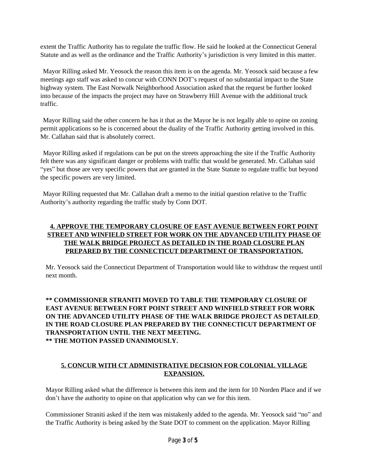extent the Traffic Authority has to regulate the traffic flow. He said he looked at the Connecticut General Statute and as well as the ordinance and the Traffic Authority's jurisdiction is very limited in this matter.

Mayor Rilling asked Mr. Yeosock the reason this item is on the agenda. Mr. Yeosock said because a few meetings ago staff was asked to concur with CONN DOT's request of no substantial impact to the State highway system. The East Norwalk Neighborhood Association asked that the request be further looked into because of the impacts the project may have on Strawberry Hill Avenue with the additional truck traffic.

Mayor Rilling said the other concern he has it that as the Mayor he is not legally able to opine on zoning permit applications so he is concerned about the duality of the Traffic Authority getting involved in this. Mr. Callahan said that is absolutely correct.

Mayor Rilling asked if regulations can be put on the streets approaching the site if the Traffic Authority felt there was any significant danger or problems with traffic that would be generated. Mr. Callahan said "yes" but those are very specific powers that are granted in the State Statute to regulate traffic but beyond the specific powers are very limited.

Mayor Rilling requested that Mr. Callahan draft a memo to the initial question relative to the Traffic Authority's authority regarding the traffic study by Conn DOT.

## **4. APPROVE THE TEMPORARY CLOSURE OF EAST AVENUE BETWEEN FORT POINT STREET AND WINFIELD STREET FOR WORK ON THE ADVANCED UTILITY PHASE OF THE WALK BRIDGE PROJECT AS DETAILED IN THE ROAD CLOSURE PLAN PREPARED BY THE CONNECTICUT DEPARTMENT OF TRANSPORTATION.**

Mr. Yeosock said the Connecticut Department of Transportation would like to withdraw the request until next month.

### **\*\* COMMISSIONER STRANITI MOVED TO TABLE THE TEMPORARY CLOSURE OF EAST AVENUE BETWEEN FORT POINT STREET AND WINFIELD STREET FOR WORK ON THE ADVANCED UTILITY PHASE OF THE WALK BRIDGE PROJECT AS DETAILED IN THE ROAD CLOSURE PLAN PREPARED BY THE CONNECTICUT DEPARTMENT OF TRANSPORTATION UNTIL THE NEXT MEETING. \*\* THE MOTION PASSED UNANIMOUSLY.**

## **5. CONCUR WITH CT ADMINISTRATIVE DECISION FOR COLONIAL VILLAGE EXPANSION.**

Mayor Rilling asked what the difference is between this item and the item for 10 Norden Place and if we don't have the authority to opine on that application why can we for this item.

Commissioner Straniti asked if the item was mistakenly added to the agenda. Mr. Yeosock said "no" and the Traffic Authority is being asked by the State DOT to comment on the application. Mayor Rilling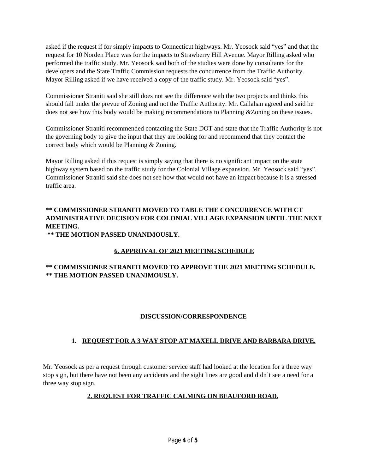asked if the request if for simply impacts to Connecticut highways. Mr. Yeosock said "yes" and that the request for 10 Norden Place was for the impacts to Strawberry Hill Avenue. Mayor Rilling asked who performed the traffic study. Mr. Yeosock said both of the studies were done by consultants for the developers and the State Traffic Commission requests the concurrence from the Traffic Authority. Mayor Rilling asked if we have received a copy of the traffic study. Mr. Yeosock said "yes".

Commissioner Straniti said she still does not see the difference with the two projects and thinks this should fall under the prevue of Zoning and not the Traffic Authority. Mr. Callahan agreed and said he does not see how this body would be making recommendations to Planning &Zoning on these issues.

Commissioner Straniti recommended contacting the State DOT and state that the Traffic Authority is not the governing body to give the input that they are looking for and recommend that they contact the correct body which would be Planning & Zoning.

Mayor Rilling asked if this request is simply saying that there is no significant impact on the state highway system based on the traffic study for the Colonial Village expansion. Mr. Yeosock said "yes". Commissioner Straniti said she does not see how that would not have an impact because it is a stressed traffic area.

# **\*\* COMMISSIONER STRANITI MOVED TO TABLE THE CONCURRENCE WITH CT ADMINISTRATIVE DECISION FOR COLONIAL VILLAGE EXPANSION UNTIL THE NEXT MEETING.**

 **\*\* THE MOTION PASSED UNANIMOUSLY.**

## **6. APPROVAL OF 2021 MEETING SCHEDULE**

## **\*\* COMMISSIONER STRANITI MOVED TO APPROVE THE 2021 MEETING SCHEDULE. \*\* THE MOTION PASSED UNANIMOUSLY.**

## **DISCUSSION/CORRESPONDENCE**

## **1. REQUEST FOR A 3 WAY STOP AT MAXELL DRIVE AND BARBARA DRIVE.**

Mr. Yeosock as per a request through customer service staff had looked at the location for a three way stop sign, but there have not been any accidents and the sight lines are good and didn't see a need for a three way stop sign.

## **2. REQUEST FOR TRAFFIC CALMING ON BEAUFORD ROAD.**